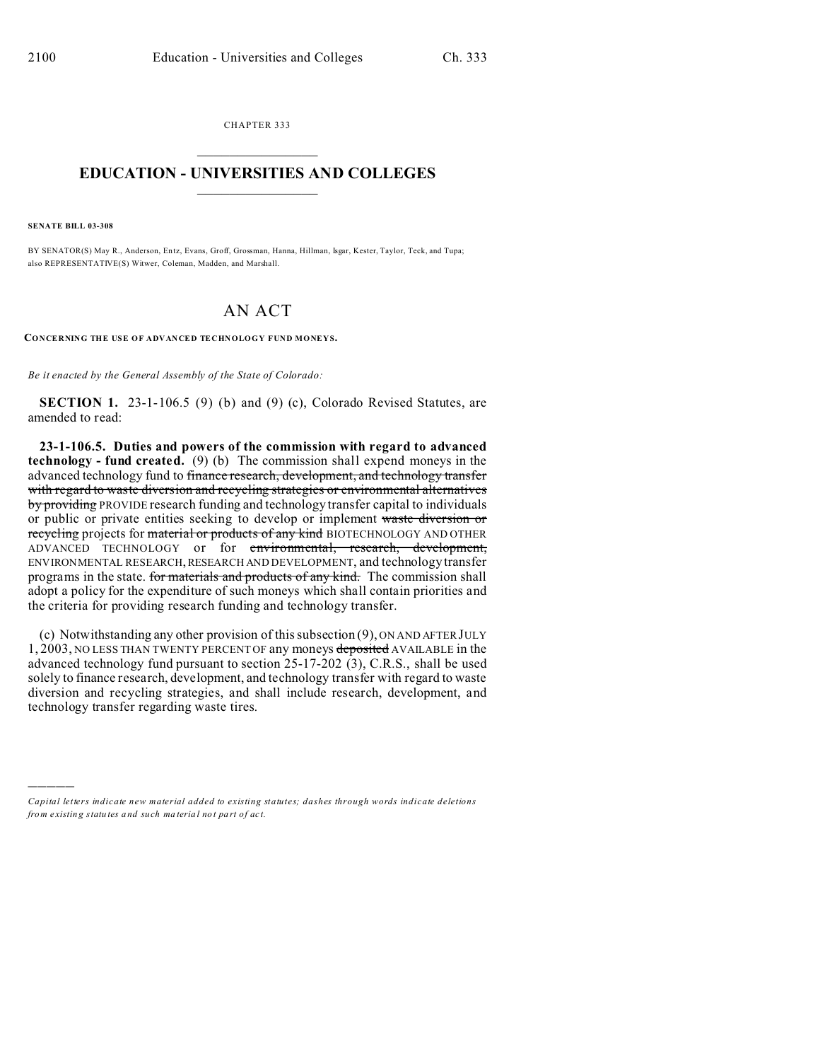CHAPTER 333  $\overline{\phantom{a}}$  , where  $\overline{\phantom{a}}$ 

## **EDUCATION - UNIVERSITIES AND COLLEGES**  $\frac{1}{2}$  ,  $\frac{1}{2}$  ,  $\frac{1}{2}$  ,  $\frac{1}{2}$  ,  $\frac{1}{2}$  ,  $\frac{1}{2}$  ,  $\frac{1}{2}$

**SENATE BILL 03-308**

)))))

BY SENATOR(S) May R., Anderson, En tz, Evans, Groff, Grossman, Hanna, Hillman, Isgar, Kester, Taylor, Teck, and Tupa; also REPRESENTATIVE(S) Witwer, Coleman, Madden, and Marshall.

## AN ACT

**CONCERNING THE USE OF ADVANCED TECHNOLOGY FUND MONEYS.**

*Be it enacted by the General Assembly of the State of Colorado:*

**SECTION 1.** 23-1-106.5 (9) (b) and (9) (c), Colorado Revised Statutes, are amended to read:

**23-1-106.5. Duties and powers of the commission with regard to advanced technology - fund created.** (9) (b) The commission shall expend moneys in the advanced technology fund to finance research, development, and technology transfer with regard to waste diversion and recycling strategies or environmental alternatives by providing PROVIDE research funding and technology transfer capital to individuals or public or private entities seeking to develop or implement waste diversion or recycling projects for material or products of any kind BIOTECHNOLOGY AND OTHER ADVANCED TECHNOLOGY or for environmental, research, development, ENVIRONMENTAL RESEARCH, RESEARCH AND DEVELOPMENT, and technology transfer programs in the state. for materials and products of any kind. The commission shall adopt a policy for the expenditure of such moneys which shall contain priorities and the criteria for providing research funding and technology transfer.

(c) Notwithstanding any other provision of this subsection (9), ON AND AFTER JULY 1, 2003, NO LESS THAN TWENTY PERCENT OF any moneys deposited AVAILABLE in the advanced technology fund pursuant to section 25-17-202 (3), C.R.S., shall be used solely to finance research, development, and technology transfer with regard to waste diversion and recycling strategies, and shall include research, development, and technology transfer regarding waste tires.

*Capital letters indicate new material added to existing statutes; dashes through words indicate deletions from e xistin g statu tes a nd such ma teria l no t pa rt of ac t.*